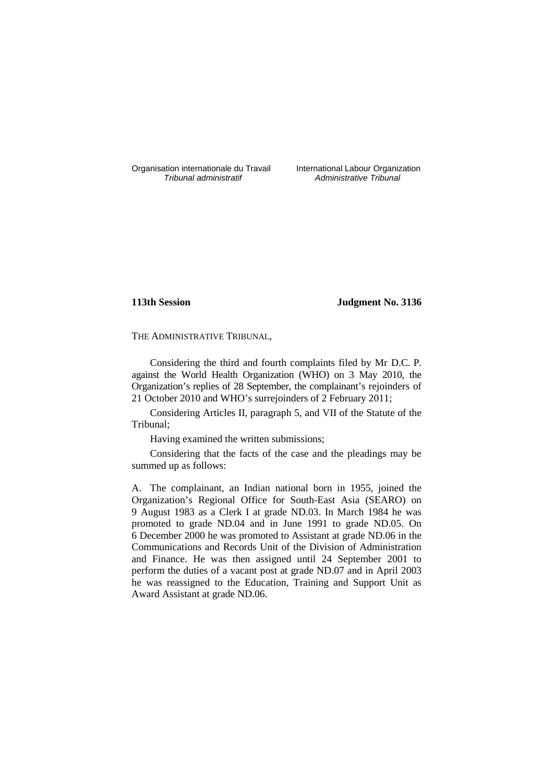Organisation internationale du Travail International Labour Organization<br>*Tribunal administratif* Administrative Tribunal

Administrative Tribunal

# **113th Session Judgment No. 3136**

THE ADMINISTRATIVE TRIBUNAL,

Considering the third and fourth complaints filed by Mr D.C. P. against the World Health Organization (WHO) on 3 May 2010, the Organization's replies of 28 September, the complainant's rejoinders of 21 October 2010 and WHO's surrejoinders of 2 February 2011;

Considering Articles II, paragraph 5, and VII of the Statute of the Tribunal;

Having examined the written submissions;

Considering that the facts of the case and the pleadings may be summed up as follows:

A. The complainant, an Indian national born in 1955, joined the Organization's Regional Office for South-East Asia (SEARO) on 9 August 1983 as a Clerk I at grade ND.03. In March 1984 he was promoted to grade ND.04 and in June 1991 to grade ND.05. On 6 December 2000 he was promoted to Assistant at grade ND.06 in the Communications and Records Unit of the Division of Administration and Finance. He was then assigned until 24 September 2001 to perform the duties of a vacant post at grade ND.07 and in April 2003 he was reassigned to the Education, Training and Support Unit as Award Assistant at grade ND.06.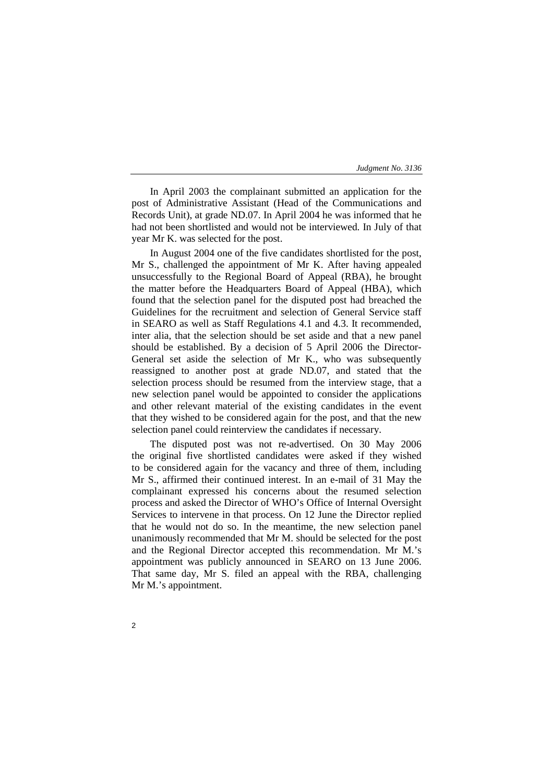In April 2003 the complainant submitted an application for the post of Administrative Assistant (Head of the Communications and Records Unit), at grade ND.07. In April 2004 he was informed that he had not been shortlisted and would not be interviewed. In July of that year Mr K. was selected for the post.

In August 2004 one of the five candidates shortlisted for the post, Mr S., challenged the appointment of Mr K. After having appealed unsuccessfully to the Regional Board of Appeal (RBA), he brought the matter before the Headquarters Board of Appeal (HBA), which found that the selection panel for the disputed post had breached the Guidelines for the recruitment and selection of General Service staff in SEARO as well as Staff Regulations 4.1 and 4.3. It recommended, inter alia, that the selection should be set aside and that a new panel should be established. By a decision of 5 April 2006 the Director-General set aside the selection of Mr K., who was subsequently reassigned to another post at grade ND.07, and stated that the selection process should be resumed from the interview stage, that a new selection panel would be appointed to consider the applications and other relevant material of the existing candidates in the event that they wished to be considered again for the post, and that the new selection panel could reinterview the candidates if necessary.

The disputed post was not re-advertised. On 30 May 2006 the original five shortlisted candidates were asked if they wished to be considered again for the vacancy and three of them, including Mr S., affirmed their continued interest. In an e-mail of 31 May the complainant expressed his concerns about the resumed selection process and asked the Director of WHO's Office of Internal Oversight Services to intervene in that process. On 12 June the Director replied that he would not do so. In the meantime, the new selection panel unanimously recommended that Mr M. should be selected for the post and the Regional Director accepted this recommendation. Mr M.'s appointment was publicly announced in SEARO on 13 June 2006. That same day, Mr S. filed an appeal with the RBA, challenging Mr M.'s appointment.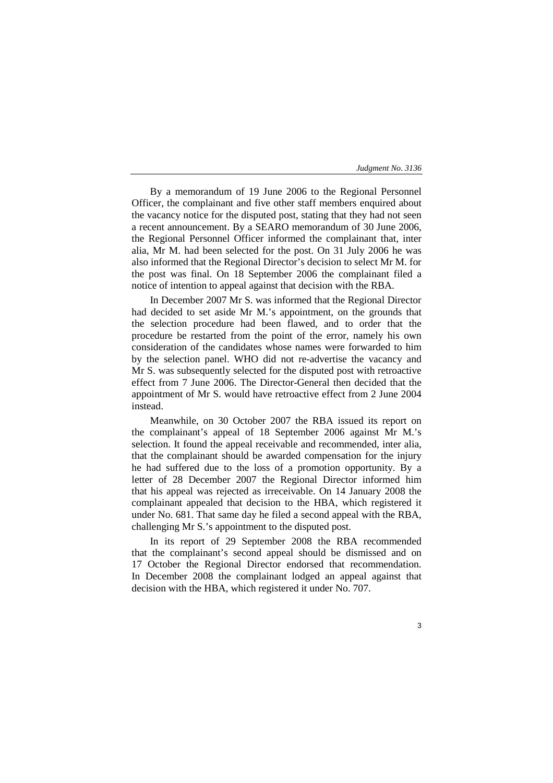3

By a memorandum of 19 June 2006 to the Regional Personnel Officer, the complainant and five other staff members enquired about the vacancy notice for the disputed post, stating that they had not seen a recent announcement. By a SEARO memorandum of 30 June 2006, the Regional Personnel Officer informed the complainant that, inter alia, Mr M. had been selected for the post. On 31 July 2006 he was also informed that the Regional Director's decision to select Mr M. for the post was final. On 18 September 2006 the complainant filed a notice of intention to appeal against that decision with the RBA.

In December 2007 Mr S. was informed that the Regional Director had decided to set aside Mr M.'s appointment, on the grounds that the selection procedure had been flawed, and to order that the procedure be restarted from the point of the error, namely his own consideration of the candidates whose names were forwarded to him by the selection panel. WHO did not re-advertise the vacancy and Mr S. was subsequently selected for the disputed post with retroactive effect from 7 June 2006. The Director-General then decided that the appointment of Mr S. would have retroactive effect from 2 June 2004 instead.

Meanwhile, on 30 October 2007 the RBA issued its report on the complainant's appeal of 18 September 2006 against Mr M.'s selection. It found the appeal receivable and recommended, inter alia, that the complainant should be awarded compensation for the injury he had suffered due to the loss of a promotion opportunity. By a letter of 28 December 2007 the Regional Director informed him that his appeal was rejected as irreceivable. On 14 January 2008 the complainant appealed that decision to the HBA, which registered it under No. 681. That same day he filed a second appeal with the RBA, challenging Mr S.'s appointment to the disputed post.

In its report of 29 September 2008 the RBA recommended that the complainant's second appeal should be dismissed and on 17 October the Regional Director endorsed that recommendation. In December 2008 the complainant lodged an appeal against that decision with the HBA, which registered it under No. 707.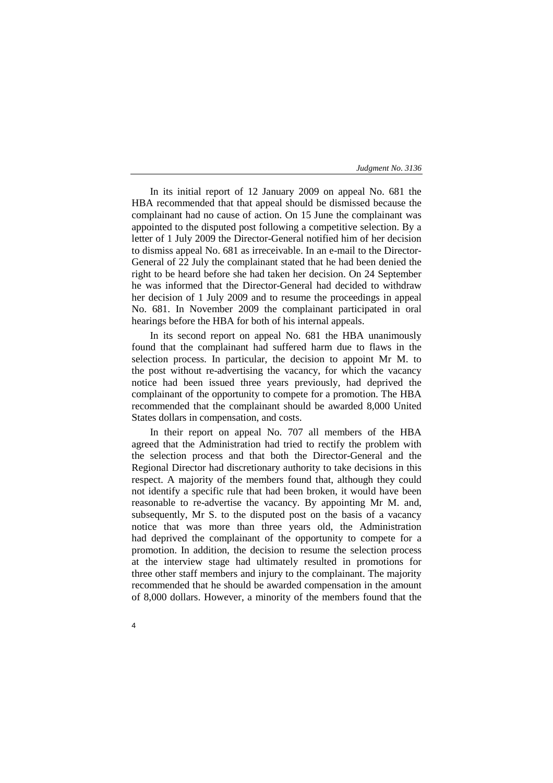In its initial report of 12 January 2009 on appeal No. 681 the HBA recommended that that appeal should be dismissed because the complainant had no cause of action. On 15 June the complainant was appointed to the disputed post following a competitive selection. By a letter of 1 July 2009 the Director-General notified him of her decision to dismiss appeal No. 681 as irreceivable. In an e-mail to the Director-General of 22 July the complainant stated that he had been denied the right to be heard before she had taken her decision. On 24 September he was informed that the Director-General had decided to withdraw her decision of 1 July 2009 and to resume the proceedings in appeal No. 681. In November 2009 the complainant participated in oral hearings before the HBA for both of his internal appeals.

In its second report on appeal No. 681 the HBA unanimously found that the complainant had suffered harm due to flaws in the selection process. In particular, the decision to appoint Mr M. to the post without re-advertising the vacancy, for which the vacancy notice had been issued three years previously, had deprived the complainant of the opportunity to compete for a promotion. The HBA recommended that the complainant should be awarded 8,000 United States dollars in compensation, and costs.

In their report on appeal No. 707 all members of the HBA agreed that the Administration had tried to rectify the problem with the selection process and that both the Director-General and the Regional Director had discretionary authority to take decisions in this respect. A majority of the members found that, although they could not identify a specific rule that had been broken, it would have been reasonable to re-advertise the vacancy. By appointing Mr M. and, subsequently, Mr S. to the disputed post on the basis of a vacancy notice that was more than three years old, the Administration had deprived the complainant of the opportunity to compete for a promotion. In addition, the decision to resume the selection process at the interview stage had ultimately resulted in promotions for three other staff members and injury to the complainant. The majority recommended that he should be awarded compensation in the amount of 8,000 dollars. However, a minority of the members found that the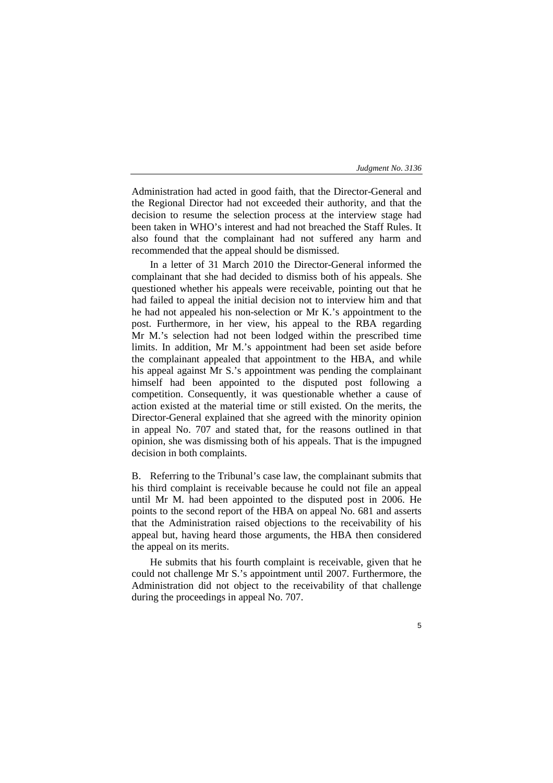Administration had acted in good faith, that the Director-General and the Regional Director had not exceeded their authority, and that the decision to resume the selection process at the interview stage had been taken in WHO's interest and had not breached the Staff Rules. It also found that the complainant had not suffered any harm and recommended that the appeal should be dismissed.

In a letter of 31 March 2010 the Director-General informed the complainant that she had decided to dismiss both of his appeals. She questioned whether his appeals were receivable, pointing out that he had failed to appeal the initial decision not to interview him and that he had not appealed his non-selection or Mr K.'s appointment to the post. Furthermore, in her view, his appeal to the RBA regarding Mr M.'s selection had not been lodged within the prescribed time limits. In addition, Mr M.'s appointment had been set aside before the complainant appealed that appointment to the HBA, and while his appeal against Mr S.'s appointment was pending the complainant himself had been appointed to the disputed post following a competition. Consequently, it was questionable whether a cause of action existed at the material time or still existed. On the merits, the Director-General explained that she agreed with the minority opinion in appeal No. 707 and stated that, for the reasons outlined in that opinion, she was dismissing both of his appeals. That is the impugned decision in both complaints.

B. Referring to the Tribunal's case law, the complainant submits that his third complaint is receivable because he could not file an appeal until Mr M. had been appointed to the disputed post in 2006. He points to the second report of the HBA on appeal No. 681 and asserts that the Administration raised objections to the receivability of his appeal but, having heard those arguments, the HBA then considered the appeal on its merits.

He submits that his fourth complaint is receivable, given that he could not challenge Mr S.'s appointment until 2007. Furthermore, the Administration did not object to the receivability of that challenge during the proceedings in appeal No. 707.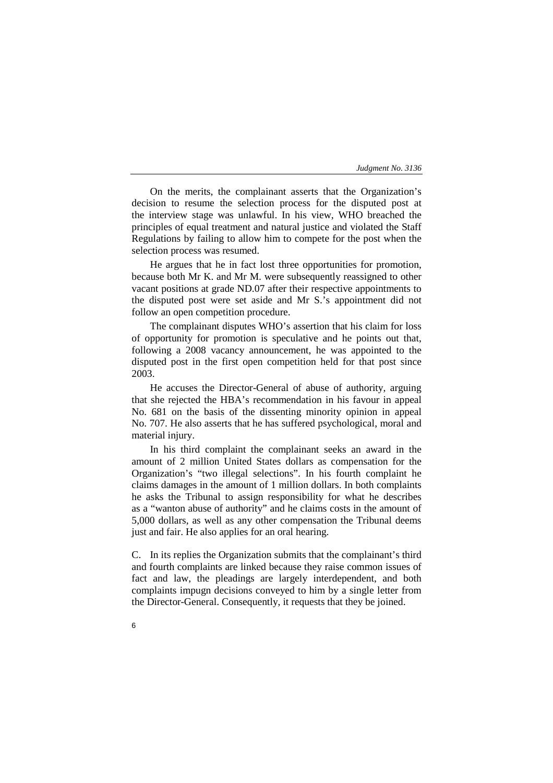On the merits, the complainant asserts that the Organization's decision to resume the selection process for the disputed post at the interview stage was unlawful. In his view, WHO breached the principles of equal treatment and natural justice and violated the Staff Regulations by failing to allow him to compete for the post when the selection process was resumed.

He argues that he in fact lost three opportunities for promotion, because both Mr K. and Mr M. were subsequently reassigned to other vacant positions at grade ND.07 after their respective appointments to the disputed post were set aside and Mr S.'s appointment did not follow an open competition procedure.

The complainant disputes WHO's assertion that his claim for loss of opportunity for promotion is speculative and he points out that, following a 2008 vacancy announcement, he was appointed to the disputed post in the first open competition held for that post since 2003.

He accuses the Director-General of abuse of authority, arguing that she rejected the HBA's recommendation in his favour in appeal No. 681 on the basis of the dissenting minority opinion in appeal No. 707. He also asserts that he has suffered psychological, moral and material injury.

In his third complaint the complainant seeks an award in the amount of 2 million United States dollars as compensation for the Organization's "two illegal selections". In his fourth complaint he claims damages in the amount of 1 million dollars. In both complaints he asks the Tribunal to assign responsibility for what he describes as a "wanton abuse of authority" and he claims costs in the amount of 5,000 dollars, as well as any other compensation the Tribunal deems just and fair. He also applies for an oral hearing.

C. In its replies the Organization submits that the complainant's third and fourth complaints are linked because they raise common issues of fact and law, the pleadings are largely interdependent, and both complaints impugn decisions conveyed to him by a single letter from the Director-General. Consequently, it requests that they be joined.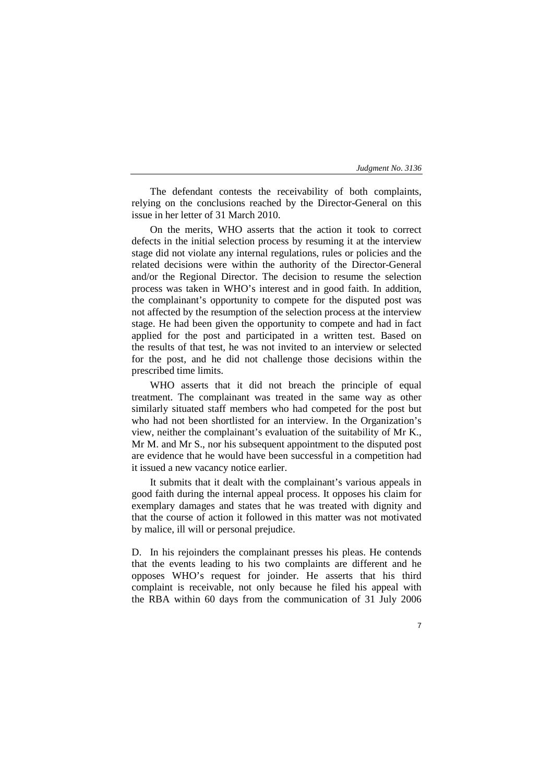The defendant contests the receivability of both complaints, relying on the conclusions reached by the Director-General on this issue in her letter of 31 March 2010.

On the merits, WHO asserts that the action it took to correct defects in the initial selection process by resuming it at the interview stage did not violate any internal regulations, rules or policies and the related decisions were within the authority of the Director-General and/or the Regional Director. The decision to resume the selection process was taken in WHO's interest and in good faith. In addition, the complainant's opportunity to compete for the disputed post was not affected by the resumption of the selection process at the interview stage. He had been given the opportunity to compete and had in fact applied for the post and participated in a written test. Based on the results of that test, he was not invited to an interview or selected for the post, and he did not challenge those decisions within the prescribed time limits.

WHO asserts that it did not breach the principle of equal treatment. The complainant was treated in the same way as other similarly situated staff members who had competed for the post but who had not been shortlisted for an interview. In the Organization's view, neither the complainant's evaluation of the suitability of Mr K., Mr M. and Mr S., nor his subsequent appointment to the disputed post are evidence that he would have been successful in a competition had it issued a new vacancy notice earlier.

It submits that it dealt with the complainant's various appeals in good faith during the internal appeal process. It opposes his claim for exemplary damages and states that he was treated with dignity and that the course of action it followed in this matter was not motivated by malice, ill will or personal prejudice.

D. In his rejoinders the complainant presses his pleas. He contends that the events leading to his two complaints are different and he opposes WHO's request for joinder. He asserts that his third complaint is receivable, not only because he filed his appeal with the RBA within 60 days from the communication of 31 July 2006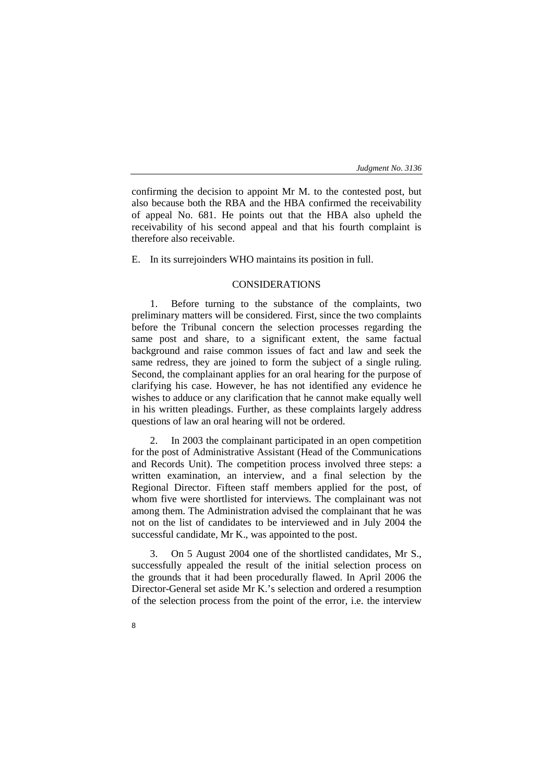confirming the decision to appoint Mr M. to the contested post, but also because both the RBA and the HBA confirmed the receivability of appeal No. 681. He points out that the HBA also upheld the receivability of his second appeal and that his fourth complaint is therefore also receivable.

E. In its surrejoinders WHO maintains its position in full.

#### CONSIDERATIONS

1. Before turning to the substance of the complaints, two preliminary matters will be considered. First, since the two complaints before the Tribunal concern the selection processes regarding the same post and share, to a significant extent, the same factual background and raise common issues of fact and law and seek the same redress, they are joined to form the subject of a single ruling. Second, the complainant applies for an oral hearing for the purpose of clarifying his case. However, he has not identified any evidence he wishes to adduce or any clarification that he cannot make equally well in his written pleadings. Further, as these complaints largely address questions of law an oral hearing will not be ordered.

2. In 2003 the complainant participated in an open competition for the post of Administrative Assistant (Head of the Communications and Records Unit). The competition process involved three steps: a written examination, an interview, and a final selection by the Regional Director. Fifteen staff members applied for the post, of whom five were shortlisted for interviews. The complainant was not among them. The Administration advised the complainant that he was not on the list of candidates to be interviewed and in July 2004 the successful candidate, Mr K., was appointed to the post.

3. On 5 August 2004 one of the shortlisted candidates, Mr S., successfully appealed the result of the initial selection process on the grounds that it had been procedurally flawed. In April 2006 the Director-General set aside Mr K.'s selection and ordered a resumption of the selection process from the point of the error, i.e. the interview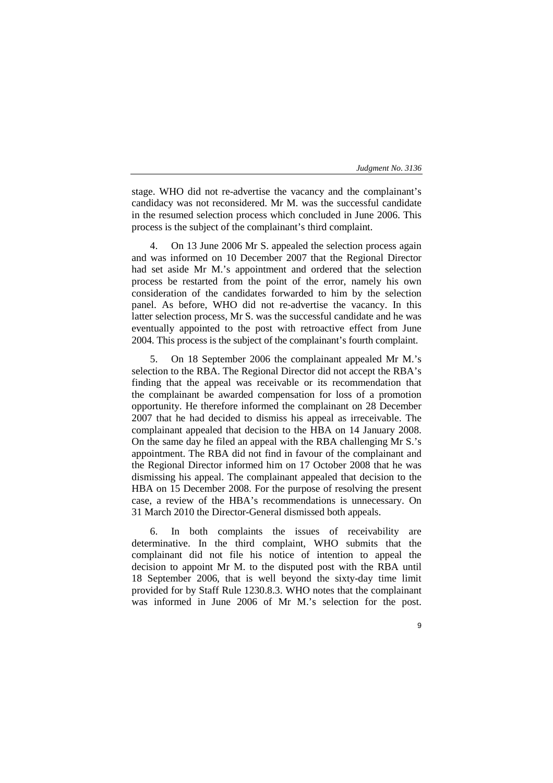stage. WHO did not re-advertise the vacancy and the complainant's candidacy was not reconsidered. Mr M. was the successful candidate in the resumed selection process which concluded in June 2006. This process is the subject of the complainant's third complaint.

4. On 13 June 2006 Mr S. appealed the selection process again and was informed on 10 December 2007 that the Regional Director had set aside Mr M.'s appointment and ordered that the selection process be restarted from the point of the error, namely his own consideration of the candidates forwarded to him by the selection panel. As before, WHO did not re-advertise the vacancy. In this latter selection process, Mr S. was the successful candidate and he was eventually appointed to the post with retroactive effect from June 2004. This process is the subject of the complainant's fourth complaint.

5. On 18 September 2006 the complainant appealed Mr M.'s selection to the RBA. The Regional Director did not accept the RBA's finding that the appeal was receivable or its recommendation that the complainant be awarded compensation for loss of a promotion opportunity. He therefore informed the complainant on 28 December 2007 that he had decided to dismiss his appeal as irreceivable. The complainant appealed that decision to the HBA on 14 January 2008. On the same day he filed an appeal with the RBA challenging Mr S.'s appointment. The RBA did not find in favour of the complainant and the Regional Director informed him on 17 October 2008 that he was dismissing his appeal. The complainant appealed that decision to the HBA on 15 December 2008. For the purpose of resolving the present case, a review of the HBA's recommendations is unnecessary. On 31 March 2010 the Director-General dismissed both appeals.

6. In both complaints the issues of receivability are determinative. In the third complaint, WHO submits that the complainant did not file his notice of intention to appeal the decision to appoint Mr M. to the disputed post with the RBA until 18 September 2006, that is well beyond the sixty-day time limit provided for by Staff Rule 1230.8.3. WHO notes that the complainant was informed in June 2006 of Mr M.'s selection for the post.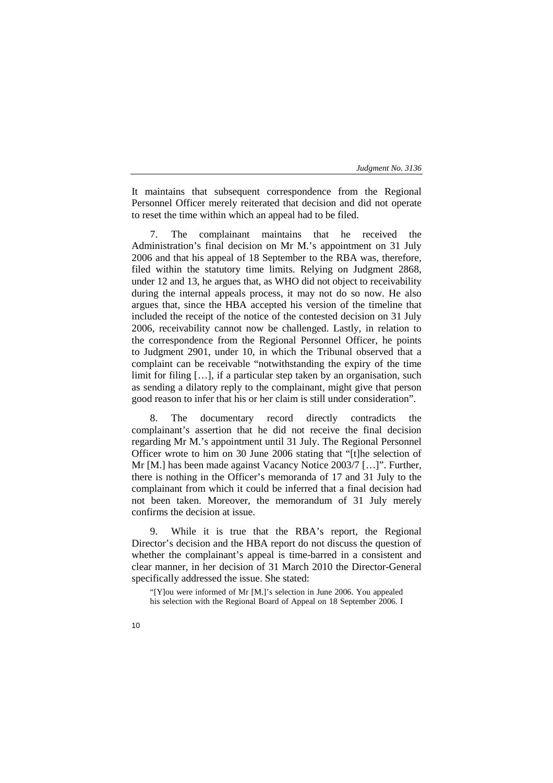It maintains that subsequent correspondence from the Regional Personnel Officer merely reiterated that decision and did not operate to reset the time within which an appeal had to be filed.

7. The complainant maintains that he received the Administration's final decision on Mr M.'s appointment on 31 July 2006 and that his appeal of 18 September to the RBA was, therefore, filed within the statutory time limits. Relying on Judgment 2868, under 12 and 13, he argues that, as WHO did not object to receivability during the internal appeals process, it may not do so now. He also argues that, since the HBA accepted his version of the timeline that included the receipt of the notice of the contested decision on 31 July 2006, receivability cannot now be challenged. Lastly, in relation to the correspondence from the Regional Personnel Officer, he points to Judgment 2901, under 10, in which the Tribunal observed that a complaint can be receivable "notwithstanding the expiry of the time limit for filing […], if a particular step taken by an organisation, such as sending a dilatory reply to the complainant, might give that person good reason to infer that his or her claim is still under consideration".

8. The documentary record directly contradicts the complainant's assertion that he did not receive the final decision regarding Mr M.'s appointment until 31 July. The Regional Personnel Officer wrote to him on 30 June 2006 stating that "[t]he selection of Mr [M.] has been made against Vacancy Notice 2003/7 […]". Further, there is nothing in the Officer's memoranda of 17 and 31 July to the complainant from which it could be inferred that a final decision had not been taken. Moreover, the memorandum of 31 July merely confirms the decision at issue.

9. While it is true that the RBA's report, the Regional Director's decision and the HBA report do not discuss the question of whether the complainant's appeal is time-barred in a consistent and clear manner, in her decision of 31 March 2010 the Director-General specifically addressed the issue. She stated:

"[Y]ou were informed of Mr [M.]'s selection in June 2006. You appealed his selection with the Regional Board of Appeal on 18 September 2006. I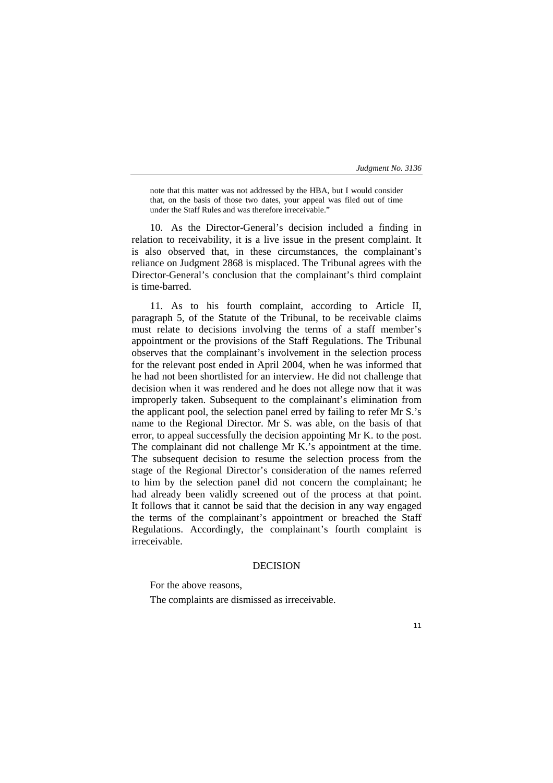note that this matter was not addressed by the HBA, but I would consider that, on the basis of those two dates, your appeal was filed out of time under the Staff Rules and was therefore irreceivable."

10. As the Director-General's decision included a finding in relation to receivability, it is a live issue in the present complaint. It is also observed that, in these circumstances, the complainant's reliance on Judgment 2868 is misplaced. The Tribunal agrees with the Director-General's conclusion that the complainant's third complaint is time-barred.

11. As to his fourth complaint, according to Article II, paragraph 5, of the Statute of the Tribunal, to be receivable claims must relate to decisions involving the terms of a staff member's appointment or the provisions of the Staff Regulations. The Tribunal observes that the complainant's involvement in the selection process for the relevant post ended in April 2004, when he was informed that he had not been shortlisted for an interview. He did not challenge that decision when it was rendered and he does not allege now that it was improperly taken. Subsequent to the complainant's elimination from the applicant pool, the selection panel erred by failing to refer Mr S.'s name to the Regional Director. Mr S. was able, on the basis of that error, to appeal successfully the decision appointing Mr K. to the post. The complainant did not challenge Mr K.'s appointment at the time. The subsequent decision to resume the selection process from the stage of the Regional Director's consideration of the names referred to him by the selection panel did not concern the complainant; he had already been validly screened out of the process at that point. It follows that it cannot be said that the decision in any way engaged the terms of the complainant's appointment or breached the Staff Regulations. Accordingly, the complainant's fourth complaint is irreceivable.

## DECISION

For the above reasons,

The complaints are dismissed as irreceivable.